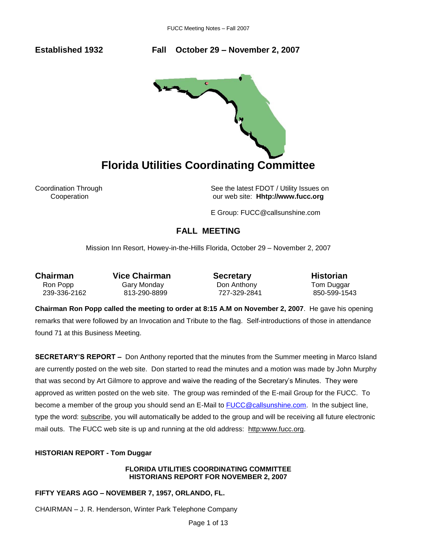**Established 1932 Fall October 29 – November 2, 2007** 



Coordination Through See the latest FDOT / Utility Issues on Cooperation our web site: **Hhtp://www.fucc.org**

E Group: FUCC@callsunshine.com

# **FALL MEETING**

Mission Inn Resort, Howey-in-the-Hills Florida, October 29 – November 2, 2007

Ron Popp **Gary Monday** Don Anthony **Tom Duggar** 239-336-2162 813-290-8899 727-329-2841 850-599-1543

**Chairman** Vice Chairman **Secretary Historian** 

**Chairman Ron Popp called the meeting to order at 8:15 A.M on November 2, 2007**. He gave his opening remarks that were followed by an Invocation and Tribute to the flag. Self-introductions of those in attendance found 71 at this Business Meeting.

**SECRETARY'S REPORT –** Don Anthony reported that the minutes from the Summer meeting in Marco Island are currently posted on the web site. Don started to read the minutes and a motion was made by John Murphy that was second by Art Gilmore to approve and waive the reading of the Secretary's Minutes. They were approved as written posted on the web site. The group was reminded of the E-mail Group for the FUCC. To become a member of the group you should send an E-Mail to [FUCC@callsunshine.com.](mailto:FUCC@callsunshine.com) In the subject line, type the word: subscribe, you will automatically be added to the group and will be receiving all future electronic mail outs. The FUCC web site is up and running at the old address: http:www.fucc.org.

# **HISTORIAN REPORT - Tom Duggar**

# **FLORIDA UTILITIES COORDINATING COMMITTEE HISTORIANS REPORT FOR NOVEMBER 2, 2007**

# **FIFTY YEARS AGO – NOVEMBER 7, 1957, ORLANDO, FL.**

CHAIRMAN – J. R. Henderson, Winter Park Telephone Company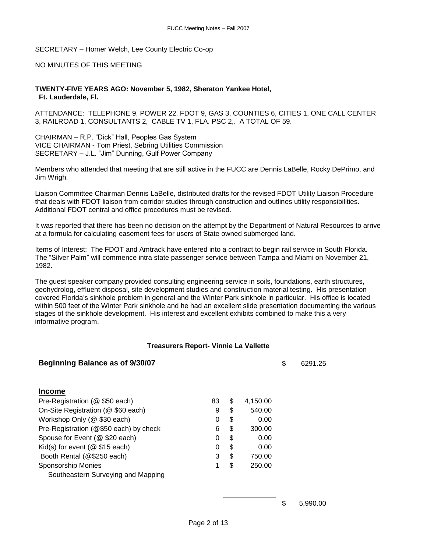SECRETARY – Homer Welch, Lee County Electric Co-op

# NO MINUTES OF THIS MEETING

**TWENTY-FIVE YEARS AGO: November 5, 1982, Sheraton Yankee Hotel, Ft. Lauderdale, Fl.**

ATTENDANCE: TELEPHONE 9, POWER 22, FDOT 9, GAS 3, COUNTIES 6, CITIES 1, ONE CALL CENTER 3, RAILROAD 1, CONSULTANTS 2, CABLE TV 1, FLA. PSC 2,. A TOTAL OF 59.

CHAIRMAN – R.P. "Dick" Hall, Peoples Gas System VICE CHAIRMAN - Tom Priest, Sebring Utilities Commission SECRETARY – J.L. "Jim" Dunning, Gulf Power Company

Members who attended that meeting that are still active in the FUCC are Dennis LaBelle, Rocky DePrimo, and Jim Wrigh.

Liaison Committee Chairman Dennis LaBelle, distributed drafts for the revised FDOT Utility Liaison Procedure that deals with FDOT liaison from corridor studies through construction and outlines utility responsibilities. Additional FDOT central and office procedures must be revised.

It was reported that there has been no decision on the attempt by the Department of Natural Resources to arrive at a formula for calculating easement fees for users of State owned submerged land.

Items of Interest: The FDOT and Amtrack have entered into a contract to begin rail service in South Florida. The "Silver Palm" will commence intra state passenger service between Tampa and Miami on November 21, 1982.

The guest speaker company provided consulting engineering service in soils, foundations, earth structures, geohydrolog, effluent disposal, site development studies and construction material testing. His presentation covered Florida's sinkhole problem in general and the Winter Park sinkhole in particular. His office is located within 500 feet of the Winter Park sinkhole and he had an excellent slide presentation documenting the various stages of the sinkhole development. His interest and excellent exhibits combined to make this a very informative program.

#### **Treasurers Report- Vinnie La Vallette**

| <b>Beginning Balance as of 9/30/07</b> |    |    |          | \$<br>6291.25 |
|----------------------------------------|----|----|----------|---------------|
| <b>Income</b>                          |    |    |          |               |
| Pre-Registration (@ \$50 each)         | 83 | \$ | 4,150.00 |               |
| On-Site Registration (@ \$60 each)     | 9  | \$ | 540.00   |               |
| Workshop Only (@ \$30 each)            | 0  | \$ | 0.00     |               |
| Pre-Registration (@\$50 each) by check | 6  | \$ | 300.00   |               |
| Spouse for Event (@ \$20 each)         | 0  | S  | 0.00     |               |
| Kid(s) for event ( $@$ \$15 each)      | 0  | \$ | 0.00     |               |
| Booth Rental (@\$250 each)             | 3  | \$ | 750.00   |               |
| <b>Sponsorship Monies</b>              | 1  | \$ | 250.00   |               |
| Southeastern Surveying and Mapping     |    |    |          |               |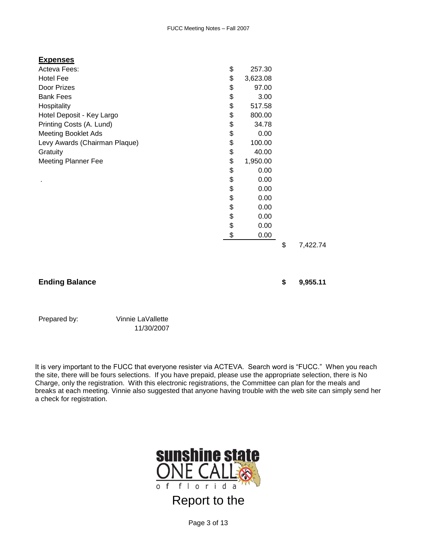| <u>Expenses</u>               |                |                |
|-------------------------------|----------------|----------------|
| Acteva Fees:                  | \$<br>257.30   |                |
| Hotel Fee                     | \$<br>3,623.08 |                |
| Door Prizes                   | \$<br>97.00    |                |
| <b>Bank Fees</b>              | \$<br>3.00     |                |
| Hospitality                   | \$<br>517.58   |                |
| Hotel Deposit - Key Largo     | \$<br>800.00   |                |
| Printing Costs (A. Lund)      | \$<br>34.78    |                |
| <b>Meeting Booklet Ads</b>    | \$<br>0.00     |                |
| Levy Awards (Chairman Plaque) | \$<br>100.00   |                |
| Gratuity                      | \$<br>40.00    |                |
| <b>Meeting Planner Fee</b>    | \$<br>1,950.00 |                |
|                               | \$<br>0.00     |                |
|                               | \$<br>0.00     |                |
|                               | \$<br>0.00     |                |
|                               | \$<br>0.00     |                |
|                               | \$<br>0.00     |                |
|                               | \$<br>0.00     |                |
|                               | \$<br>0.00     |                |
|                               | \$<br>0.00     |                |
|                               |                | \$<br>7,422.74 |

# **Ending Balance \$ 9,955.11**

Prepared by: Vinnie LaVallette

11/30/2007

It is very important to the FUCC that everyone resister via ACTEVA. Search word is "FUCC." When you reach the site, there will be fours selections. If you have prepaid, please use the appropriate selection, there is No Charge, only the registration. With this electronic registrations, the Committee can plan for the meals and breaks at each meeting. Vinnie also suggested that anyone having trouble with the web site can simply send her a check for registration.



Page 3 of 13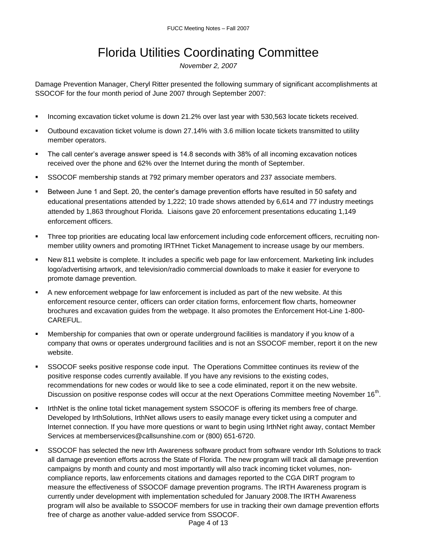# Florida Utilities Coordinating Committee

*November 2, 2007*

Damage Prevention Manager, Cheryl Ritter presented the following summary of significant accomplishments at SSOCOF for the four month period of June 2007 through September 2007:

- **Incoming excavation ticket volume is down 21.2% over last year with 530,563 locate tickets received.**
- Outbound excavation ticket volume is down 27.14% with 3.6 million locate tickets transmitted to utility member operators.
- The call center's average answer speed is 14.8 seconds with 38% of all incoming excavation notices received over the phone and 62% over the Internet during the month of September.
- SSOCOF membership stands at 792 primary member operators and 237 associate members.
- Between June 1 and Sept. 20, the center's damage prevention efforts have resulted in 50 safety and educational presentations attended by 1,222; 10 trade shows attended by 6,614 and 77 industry meetings attended by 1,863 throughout Florida. Liaisons gave 20 enforcement presentations educating 1,149 enforcement officers.
- Three top priorities are educating local law enforcement including code enforcement officers, recruiting nonmember utility owners and promoting IRTHnet Ticket Management to increase usage by our members.
- New 811 website is complete. It includes a specific web page for law enforcement. Marketing link includes logo/advertising artwork, and television/radio commercial downloads to make it easier for everyone to promote damage prevention.
- A new enforcement webpage for law enforcement is included as part of the new website. At this enforcement resource center, officers can order citation forms, enforcement flow charts, homeowner brochures and excavation guides from the webpage. It also promotes the Enforcement Hot-Line 1-800- CAREFUL.
- Membership for companies that own or operate underground facilities is mandatory if you know of a company that owns or operates underground facilities and is not an SSOCOF member, report it on the new website.
- SSOCOF seeks positive response code input. The Operations Committee continues its review of the positive response codes currently available. If you have any revisions to the existing codes, recommendations for new codes or would like to see a code eliminated, report it on the new website. Discussion on positive response codes will occur at the next Operations Committee meeting November 16<sup>th</sup>.
- **I** IrthNet is the online total ticket management system SSOCOF is offering its members free of charge. Developed by IrthSolutions, IrthNet allows users to easily manage every ticket using a computer and Internet connection. If you have more questions or want to begin using IrthNet right away, contact Member Services at [memberservices@callsunshine.com](mailto:memberservices@callsunshine.com?subject=IrthNet) or (800) 651-6720.
- SSOCOF has selected the new Irth Awareness software product from software vendor Irth Solutions to track all damage prevention efforts across the State of Florida. The new program will track all damage prevention campaigns by month and county and most importantly will also track incoming ticket volumes, noncompliance reports, law enforcements citations and damages reported to the CGA DIRT program to measure the effectiveness of SSOCOF damage prevention programs. The IRTH Awareness program is currently under development with implementation scheduled for January 2008.The IRTH Awareness program will also be available to SSOCOF members for use in tracking their own damage prevention efforts free of charge as another value-added service from SSOCOF.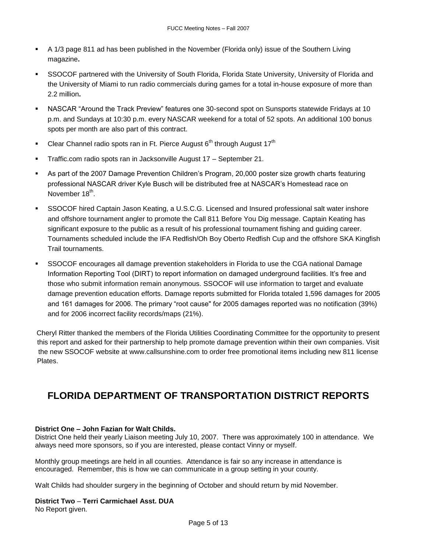- A 1/3 page 811 ad has been published in the November (Florida only) issue of the Southern Living magazine**.**
- SSOCOF partnered with the University of South Florida, Florida State University, University of Florida and the University of Miami to run radio commercials during games for a total in-house exposure of more than 2.2 million**.**
- NASCAR "Around the Track Preview" features one 30-second spot on Sunsports statewide Fridays at 10 p.m. and Sundays at 10:30 p.m. every NASCAR weekend for a total of 52 spots. An additional 100 bonus spots per month are also part of this contract.
- **Clear Channel radio spots ran in Ft. Pierce August 6<sup>th</sup> through August 17<sup>th</sup>**
- **Traffic.com radio spots ran in Jacksonville August 17 September 21.**
- As part of the 2007 Damage Prevention Children's Program, 20,000 poster size growth charts featuring professional NASCAR driver Kyle Busch will be distributed free at NASCAR's Homestead race on November 18<sup>th</sup>.
- SSOCOF hired Captain Jason Keating, a U.S.C.G. Licensed and Insured professional salt water inshore and offshore tournament angler to promote the Call 811 Before You Dig message. Captain Keating has significant exposure to the public as a result of his professional tournament fishing and guiding career. Tournaments scheduled include the IFA Redfish/Oh Boy Oberto Redfish Cup and the offshore SKA Kingfish Trail tournaments.
- SSOCOF encourages all damage prevention stakeholders in Florida to use the CGA national Damage Information Reporting Tool (DIRT) to report information on damaged underground facilities. It's free and those who submit information remain anonymous. SSOCOF will use information to target and evaluate damage prevention education efforts. Damage reports submitted for Florida totaled 1,596 damages for 2005 and 161 damages for 2006. The primary "root cause" for 2005 damages reported was no notification (39%) and for 2006 incorrect facility records/maps (21%).

Cheryl Ritter thanked the members of the Florida Utilities Coordinating Committee for the opportunity to present this report and asked for their partnership to help promote damage prevention within their own companies. Visit the new SSOCOF website at [www.callsunshine.com](http://www.callsunshine.com/) to order free promotional items including new 811 license Plates.

# **FLORIDA DEPARTMENT OF TRANSPORTATION DISTRICT REPORTS**

# **District One – John Fazian for Walt Childs.**

District One held their yearly Liaison meeting July 10, 2007. There was approximately 100 in attendance. We always need more sponsors, so if you are interested, please contact Vinny or myself.

Monthly group meetings are held in all counties. Attendance is fair so any increase in attendance is encouraged. Remember, this is how we can communicate in a group setting in your county.

Walt Childs had shoulder surgery in the beginning of October and should return by mid November.

## **District Two** – **Terri Carmichael Asst. DUA**

No Report given.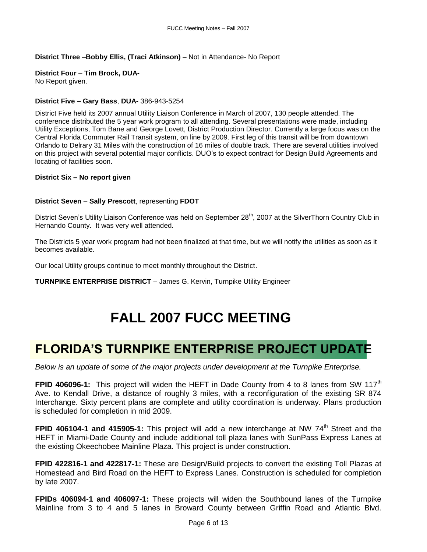# **District Three** –**Bobby Ellis, (Traci Atkinson)** – Not in Attendance- No Report

# **District Four** – **Tim Brock, DUA-**

No Report given.

# **District Five – Gary Bass**, **DUA-** 386-943-5254

District Five held its 2007 annual Utility Liaison Conference in March of 2007, 130 people attended. The conference distributed the 5 year work program to all attending. Several presentations were made, including Utility Exceptions, Tom Bane and George Lovett, District Production Director. Currently a large focus was on the Central Florida Commuter Rail Transit system, on line by 2009. First leg of this transit will be from downtown Orlando to Delrary 31 Miles with the construction of 16 miles of double track. There are several utilities involved on this project with several potential major conflicts. DUO's to expect contract for Design Build Agreements and locating of facilities soon.

# **District Six – No report given**

# **District Seven** – **Sally Prescott**, representing **FDOT**

District Seven's Utility Liaison Conference was held on September 28<sup>th</sup>, 2007 at the SilverThorn Country Club in Hernando County. It was very well attended.

The Districts 5 year work program had not been finalized at that time, but we will notify the utilities as soon as it becomes available.

Our local Utility groups continue to meet monthly throughout the District.

**TURNPIKE ENTERPRISE DISTRICT** – James G. Kervin, Turnpike Utility Engineer

# **FALL 2007 FUCC MEETING**

# **FLORIDA'S TURNPIKE ENTERPRISE PROJECT UPDATE**

*Below is an update of some of the major projects under development at the Turnpike Enterprise.*

**FPID 406096-1:** This project will widen the HEFT in Dade County from 4 to 8 lanes from SW 117<sup>th</sup> Ave. to Kendall Drive, a distance of roughly 3 miles, with a reconfiguration of the existing SR 874 Interchange. Sixty percent plans are complete and utility coordination is underway. Plans production is scheduled for completion in mid 2009.

**FPID 406104-1 and 415905-1:** This project will add a new interchange at NW 74<sup>th</sup> Street and the HEFT in Miami-Dade County and include additional toll plaza lanes with SunPass Express Lanes at the existing Okeechobee Mainline Plaza. This project is under construction.

**FPID 422816-1 and 422817-1:** These are Design/Build projects to convert the existing Toll Plazas at Homestead and Bird Road on the HEFT to Express Lanes. Construction is scheduled for completion by late 2007.

**FPIDs 406094-1 and 406097-1:** These projects will widen the Southbound lanes of the Turnpike Mainline from 3 to 4 and 5 lanes in Broward County between Griffin Road and Atlantic Blvd.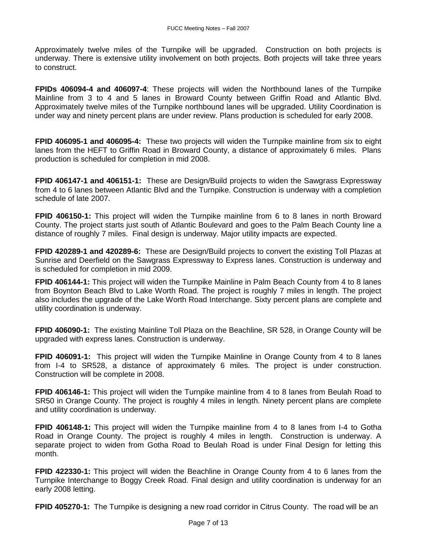Approximately twelve miles of the Turnpike will be upgraded. Construction on both projects is underway. There is extensive utility involvement on both projects. Both projects will take three years to construct.

**FPIDs 406094-4 and 406097-4**: These projects will widen the Northbound lanes of the Turnpike Mainline from 3 to 4 and 5 lanes in Broward County between Griffin Road and Atlantic Blvd. Approximately twelve miles of the Turnpike northbound lanes will be upgraded. Utility Coordination is under way and ninety percent plans are under review. Plans production is scheduled for early 2008.

**FPID 406095-1 and 406095-4:** These two projects will widen the Turnpike mainline from six to eight lanes from the HEFT to Griffin Road in Broward County, a distance of approximately 6 miles. Plans production is scheduled for completion in mid 2008.

**FPID 406147-1 and 406151-1:** These are Design/Build projects to widen the Sawgrass Expressway from 4 to 6 lanes between Atlantic Blvd and the Turnpike. Construction is underway with a completion schedule of late 2007.

**FPID 406150-1:** This project will widen the Turnpike mainline from 6 to 8 lanes in north Broward County. The project starts just south of Atlantic Boulevard and goes to the Palm Beach County line a distance of roughly 7 miles. Final design is underway. Major utility impacts are expected.

**FPID 420289-1 and 420289-6:** These are Design/Build projects to convert the existing Toll Plazas at Sunrise and Deerfield on the Sawgrass Expressway to Express lanes. Construction is underway and is scheduled for completion in mid 2009.

**FPID 406144-1:** This project will widen the Turnpike Mainline in Palm Beach County from 4 to 8 lanes from Boynton Beach Blvd to Lake Worth Road. The project is roughly 7 miles in length. The project also includes the upgrade of the Lake Worth Road Interchange. Sixty percent plans are complete and utility coordination is underway.

**FPID 406090-1:** The existing Mainline Toll Plaza on the Beachline, SR 528, in Orange County will be upgraded with express lanes. Construction is underway.

**FPID 406091-1:** This project will widen the Turnpike Mainline in Orange County from 4 to 8 lanes from I-4 to SR528, a distance of approximately 6 miles. The project is under construction. Construction will be complete in 2008.

**FPID 406146-1:** This project will widen the Turnpike mainline from 4 to 8 lanes from Beulah Road to SR50 in Orange County. The project is roughly 4 miles in length. Ninety percent plans are complete and utility coordination is underway.

**FPID 406148-1:** This project will widen the Turnpike mainline from 4 to 8 lanes from I-4 to Gotha Road in Orange County. The project is roughly 4 miles in length. Construction is underway. A separate project to widen from Gotha Road to Beulah Road is under Final Design for letting this month.

**FPID 422330-1:** This project will widen the Beachline in Orange County from 4 to 6 lanes from the Turnpike Interchange to Boggy Creek Road. Final design and utility coordination is underway for an early 2008 letting.

**FPID 405270-1:** The Turnpike is designing a new road corridor in Citrus County. The road will be an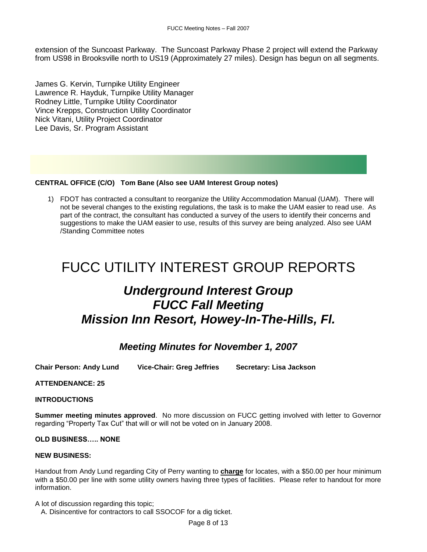extension of the Suncoast Parkway. The Suncoast Parkway Phase 2 project will extend the Parkway from US98 in Brooksville north to US19 (Approximately 27 miles). Design has begun on all segments.

James G. Kervin, Turnpike Utility Engineer Lawrence R. Hayduk, Turnpike Utility Manager Rodney Little, Turnpike Utility Coordinator Vince Krepps, Construction Utility Coordinator Nick Vitani, Utility Project Coordinator Lee Davis, Sr. Program Assistant

# **CENTRAL OFFICE (C/O) Tom Bane (Also see UAM Interest Group notes)**

1) FDOT has contracted a consultant to reorganize the Utility Accommodation Manual (UAM). There will not be several changes to the existing regulations, the task is to make the UAM easier to read use. As part of the contract, the consultant has conducted a survey of the users to identify their concerns and suggestions to make the UAM easier to use, results of this survey are being analyzed. Also see UAM /Standing Committee notes

# FUCC UTILITY INTEREST GROUP REPORTS

# *Underground Interest Group FUCC Fall Meeting Mission Inn Resort, Howey-In-The-Hills, Fl.*

# *Meeting Minutes for November 1, 2007*

**Chair Person: Andy Lund Vice-Chair: Greg Jeffries Secretary: Lisa Jackson**

## **ATTENDENANCE: 25**

## **INTRODUCTIONS**

**Summer meeting minutes approved**. No more discussion on FUCC getting involved with letter to Governor regarding "Property Tax Cut" that will or will not be voted on in January 2008.

## **OLD BUSINESS….. NONE**

## **NEW BUSINESS:**

Handout from Andy Lund regarding City of Perry wanting to **charge** for locates, with a \$50.00 per hour minimum with a \$50.00 per line with some utility owners having three types of facilities. Please refer to handout for more information.

A lot of discussion regarding this topic;

A. Disincentive for contractors to call SSOCOF for a dig ticket.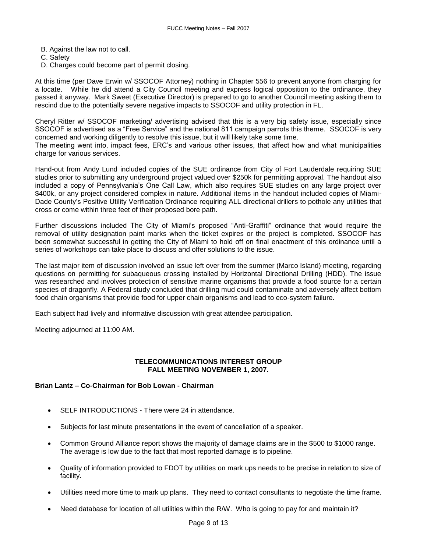- B. Against the law not to call.
- C. Safety
- D. Charges could become part of permit closing.

At this time (per Dave Erwin w/ SSOCOF Attorney) nothing in Chapter 556 to prevent anyone from charging for a locate. While he did attend a City Council meeting and express logical opposition to the ordinance, they passed it anyway. Mark Sweet (Executive Director) is prepared to go to another Council meeting asking them to rescind due to the potentially severe negative impacts to SSOCOF and utility protection in FL.

Cheryl Ritter w/ SSOCOF marketing/ advertising advised that this is a very big safety issue, especially since SSOCOF is advertised as a "Free Service" and the national 811 campaign parrots this theme. SSOCOF is very concerned and working diligently to resolve this issue, but it will likely take some time.

The meeting went into, impact fees, ERC's and various other issues, that affect how and what municipalities charge for various services.

Hand-out from Andy Lund included copies of the SUE ordinance from City of Fort Lauderdale requiring SUE studies prior to submitting any underground project valued over \$250k for permitting approval. The handout also included a copy of Pennsylvania's One Call Law, which also requires SUE studies on any large project over \$400k, or any project considered complex in nature. Additional items in the handout included copies of Miami-Dade County's Positive Utility Verification Ordinance requiring ALL directional drillers to pothole any utilities that cross or come within three feet of their proposed bore path.

Further discussions included The City of Miami's proposed "Anti-Graffiti" ordinance that would require the removal of utility designation paint marks when the ticket expires or the project is completed. SSOCOF has been somewhat successful in getting the City of Miami to hold off on final enactment of this ordinance until a series of workshops can take place to discuss and offer solutions to the issue.

The last major item of discussion involved an issue left over from the summer (Marco Island) meeting, regarding questions on permitting for subaqueous crossing installed by Horizontal Directional Drilling (HDD). The issue was researched and involves protection of sensitive marine organisms that provide a food source for a certain species of dragonfly. A Federal study concluded that drilling mud could contaminate and adversely affect bottom food chain organisms that provide food for upper chain organisms and lead to eco-system failure.

Each subject had lively and informative discussion with great attendee participation.

Meeting adjourned at 11:00 AM.

# **TELECOMMUNICATIONS INTEREST GROUP FALL MEETING NOVEMBER 1, 2007.**

# **Brian Lantz – Co-Chairman for Bob Lowan - Chairman**

- SELF INTRODUCTIONS There were 24 in attendance.
- Subjects for last minute presentations in the event of cancellation of a speaker.
- Common Ground Alliance report shows the majority of damage claims are in the \$500 to \$1000 range. The average is low due to the fact that most reported damage is to pipeline.
- Quality of information provided to FDOT by utilities on mark ups needs to be precise in relation to size of facility.
- Utilities need more time to mark up plans. They need to contact consultants to negotiate the time frame.
- Need database for location of all utilities within the R/W. Who is going to pay for and maintain it?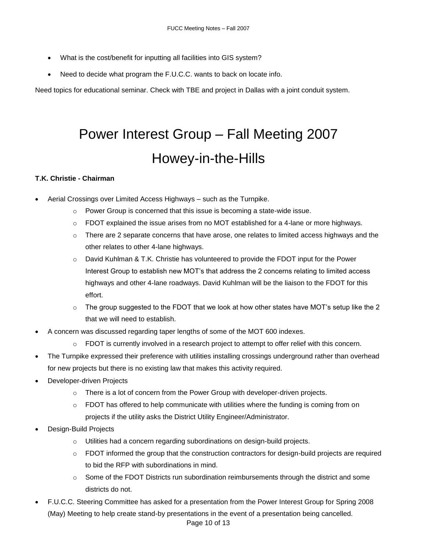- What is the cost/benefit for inputting all facilities into GIS system?
- Need to decide what program the F.U.C.C. wants to back on locate info.

Need topics for educational seminar. Check with TBE and project in Dallas with a joint conduit system.

# Power Interest Group – Fall Meeting 2007 Howey-in-the-Hills

# **T.K. Christie - Chairman**

- Aerial Crossings over Limited Access Highways such as the Turnpike.
	- o Power Group is concerned that this issue is becoming a state-wide issue.
	- $\circ$  FDOT explained the issue arises from no MOT established for a 4-lane or more highways.
	- $\circ$  There are 2 separate concerns that have arose, one relates to limited access highways and the other relates to other 4-lane highways.
	- $\circ$  David Kuhlman & T.K. Christie has volunteered to provide the FDOT input for the Power Interest Group to establish new MOT's that address the 2 concerns relating to limited access highways and other 4-lane roadways. David Kuhlman will be the liaison to the FDOT for this effort.
	- The group suggested to the FDOT that we look at how other states have MOT's setup like the 2 that we will need to establish.
- A concern was discussed regarding taper lengths of some of the MOT 600 indexes.
	- FDOT is currently involved in a research project to attempt to offer relief with this concern.
- The Turnpike expressed their preference with utilities installing crossings underground rather than overhead for new projects but there is no existing law that makes this activity required.
- Developer-driven Projects
	- $\circ$  There is a lot of concern from the Power Group with developer-driven projects.
	- $\circ$  FDOT has offered to help communicate with utilities where the funding is coming from on projects if the utility asks the District Utility Engineer/Administrator.
- Design-Build Projects
	- o Utilities had a concern regarding subordinations on design-build projects.
	- $\circ$  FDOT informed the group that the construction contractors for design-build projects are required to bid the RFP with subordinations in mind.
	- $\circ$  Some of the FDOT Districts run subordination reimbursements through the district and some districts do not.
- F.U.C.C. Steering Committee has asked for a presentation from the Power Interest Group for Spring 2008 (May) Meeting to help create stand-by presentations in the event of a presentation being cancelled.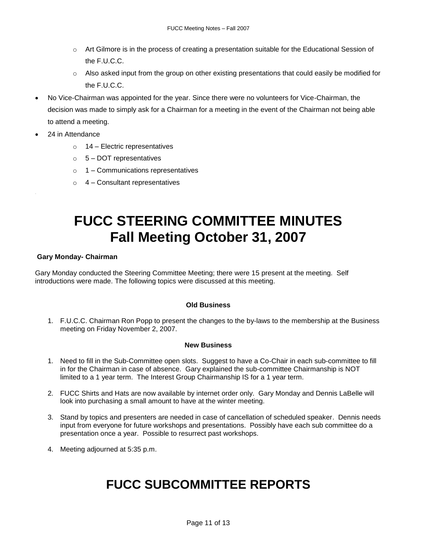- Art Gilmore is in the process of creating a presentation suitable for the Educational Session of the F.U.C.C.
- $\circ$  Also asked input from the group on other existing presentations that could easily be modified for the F.U.C.C.
- No Vice-Chairman was appointed for the year. Since there were no volunteers for Vice-Chairman, the decision was made to simply ask for a Chairman for a meeting in the event of the Chairman not being able to attend a meeting.
- 24 in Attendance
	- $\circ$  14 Electric representatives
	- $\circ$  5 DOT representatives
	- $\circ$  1 Communications representatives
	- $\circ$  4 Consultant representatives

# **FUCC STEERING COMMITTEE MINUTES Fall Meeting October 31, 2007**

# **Gary Monday- Chairman**

Gary Monday conducted the Steering Committee Meeting; there were 15 present at the meeting. Self introductions were made. The following topics were discussed at this meeting.

# **Old Business**

1. F.U.C.C. Chairman Ron Popp to present the changes to the by-laws to the membership at the Business meeting on Friday November 2, 2007.

## **New Business**

- 1. Need to fill in the Sub-Committee open slots. Suggest to have a Co-Chair in each sub-committee to fill in for the Chairman in case of absence. Gary explained the sub-committee Chairmanship is NOT limited to a 1 year term. The Interest Group Chairmanship IS for a 1 year term.
- 2. FUCC Shirts and Hats are now available by internet order only. Gary Monday and Dennis LaBelle will look into purchasing a small amount to have at the winter meeting.
- 3. Stand by topics and presenters are needed in case of cancellation of scheduled speaker. Dennis needs input from everyone for future workshops and presentations. Possibly have each sub committee do a presentation once a year. Possible to resurrect past workshops.
- 4. Meeting adjourned at 5:35 p.m.

# **FUCC SUBCOMMITTEE REPORTS**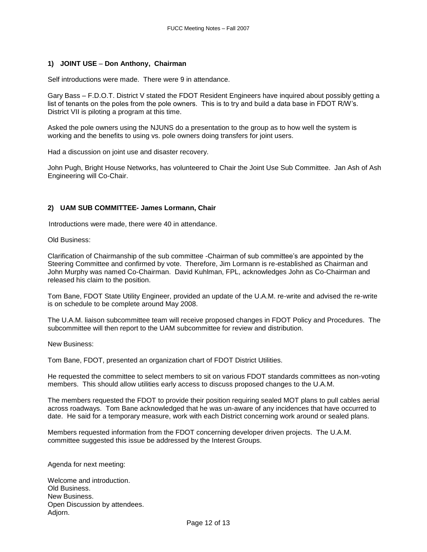## **1) JOINT USE** – **Don Anthony, Chairman**

Self introductions were made. There were 9 in attendance.

Gary Bass – F.D.O.T. District V stated the FDOT Resident Engineers have inquired about possibly getting a list of tenants on the poles from the pole owners. This is to try and build a data base in FDOT R/W's. District VII is piloting a program at this time.

Asked the pole owners using the NJUNS do a presentation to the group as to how well the system is working and the benefits to using vs. pole owners doing transfers for joint users.

Had a discussion on joint use and disaster recovery.

John Pugh, Bright House Networks, has volunteered to Chair the Joint Use Sub Committee. Jan Ash of Ash Engineering will Co-Chair.

## **2) UAM SUB COMMITTEE- James Lormann, Chair**

Introductions were made, there were 40 in attendance.

Old Business:

Clarification of Chairmanship of the sub committee -Chairman of sub committee's are appointed by the Steering Committee and confirmed by vote. Therefore, Jim Lormann is re-established as Chairman and John Murphy was named Co-Chairman. David Kuhlman, FPL, acknowledges John as Co-Chairman and released his claim to the position.

Tom Bane, FDOT State Utility Engineer, provided an update of the U.A.M. re-write and advised the re-write is on schedule to be complete around May 2008.

The U.A.M. liaison subcommittee team will receive proposed changes in FDOT Policy and Procedures. The subcommittee will then report to the UAM subcommittee for review and distribution.

New Business:

Tom Bane, FDOT, presented an organization chart of FDOT District Utilities.

He requested the committee to select members to sit on various FDOT standards committees as non-voting members. This should allow utilities early access to discuss proposed changes to the U.A.M.

The members requested the FDOT to provide their position requiring sealed MOT plans to pull cables aerial across roadways. Tom Bane acknowledged that he was un-aware of any incidences that have occurred to date. He said for a temporary measure, work with each District concerning work around or sealed plans.

Members requested information from the FDOT concerning developer driven projects. The U.A.M. committee suggested this issue be addressed by the Interest Groups.

Agenda for next meeting:

Welcome and introduction. Old Business. New Business. Open Discussion by attendees. Adjorn.